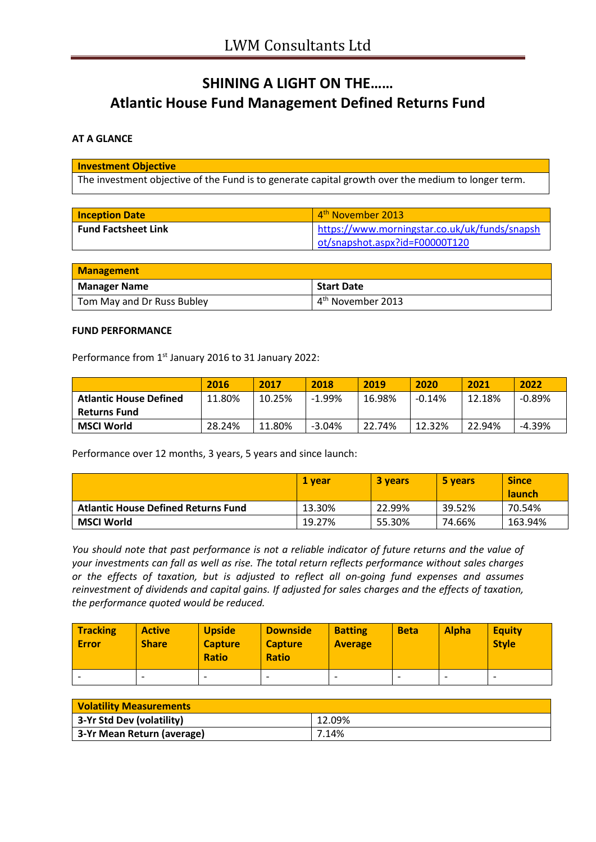# **SHINING A LIGHT ON THE…… Atlantic House Fund Management Defined Returns Fund**

## **AT A GLANCE**

#### **Investment Objective**

The investment objective of the Fund is to generate capital growth over the medium to longer term.

| <b>Inception Date</b>      | 4 <sup>th</sup> November 2013                 |  |  |
|----------------------------|-----------------------------------------------|--|--|
| <b>Fund Factsheet Link</b> | https://www.morningstar.co.uk/uk/funds/snapsh |  |  |
|                            | ot/snapshot.aspx?id=F00000T120                |  |  |

| <b>Management</b>          |                               |  |  |  |  |
|----------------------------|-------------------------------|--|--|--|--|
| <b>Manager Name</b>        | <b>Start Date</b>             |  |  |  |  |
| Tom May and Dr Russ Bubley | 4 <sup>th</sup> November 2013 |  |  |  |  |

#### **FUND PERFORMANCE**

Performance from 1<sup>st</sup> January 2016 to 31 January 2022:

|                               | 2016   | 2017   | 2018      | 2019   | 2020     | 2021   | 2022     |
|-------------------------------|--------|--------|-----------|--------|----------|--------|----------|
| <b>Atlantic House Defined</b> | 11.80% | 10.25% | $-1.99\%$ | 16.98% | $-0.14%$ | 12.18% | $-0.89%$ |
| <b>Returns Fund</b>           |        |        |           |        |          |        |          |
| MSCI World                    | 28.24% | 11.80% | $-3.04%$  | 22.74% | 12.32%   | 22.94% | $-4.39%$ |

Performance over 12 months, 3 years, 5 years and since launch:

|                                            | 1 vear | <b>3 years</b> | 5 years | <b>Since</b><br><b>launch</b> |
|--------------------------------------------|--------|----------------|---------|-------------------------------|
| <b>Atlantic House Defined Returns Fund</b> | 13.30% | 22.99%         | 39.52%  | 70.54%                        |
| MSCI World                                 | 19.27% | 55.30%         | 74.66%  | 163.94%                       |

*You should note that past performance is not a reliable indicator of future returns and the value of your investments can fall as well as rise. The total return reflects performance without sales charges or the effects of taxation, but is adjusted to reflect all on-going fund expenses and assumes reinvestment of dividends and capital gains. If adjusted for sales charges and the effects of taxation, the performance quoted would be reduced.*

| <b>Tracking</b><br><b>Error</b> | <b>Active</b><br><b>Share</b> | <b>Upside</b><br><b>Capture</b><br><b>Ratio</b> | <b>Downside</b><br><b>Capture</b><br><b>Ratio</b> | <b>Batting</b><br><b>Average</b> | <b>Beta</b> | <b>Alpha</b>             | <b>Equity</b><br><b>Style</b> |
|---------------------------------|-------------------------------|-------------------------------------------------|---------------------------------------------------|----------------------------------|-------------|--------------------------|-------------------------------|
|                                 | -                             | $\overline{\phantom{0}}$                        | $\overline{\phantom{0}}$                          |                                  |             | $\overline{\phantom{0}}$ | $\overline{\phantom{0}}$      |

| <b>Volatility Measurements</b> |        |
|--------------------------------|--------|
| 3-Yr Std Dev (volatility)      | 12.09% |
| 3-Yr Mean Return (average)     | 7.14%  |